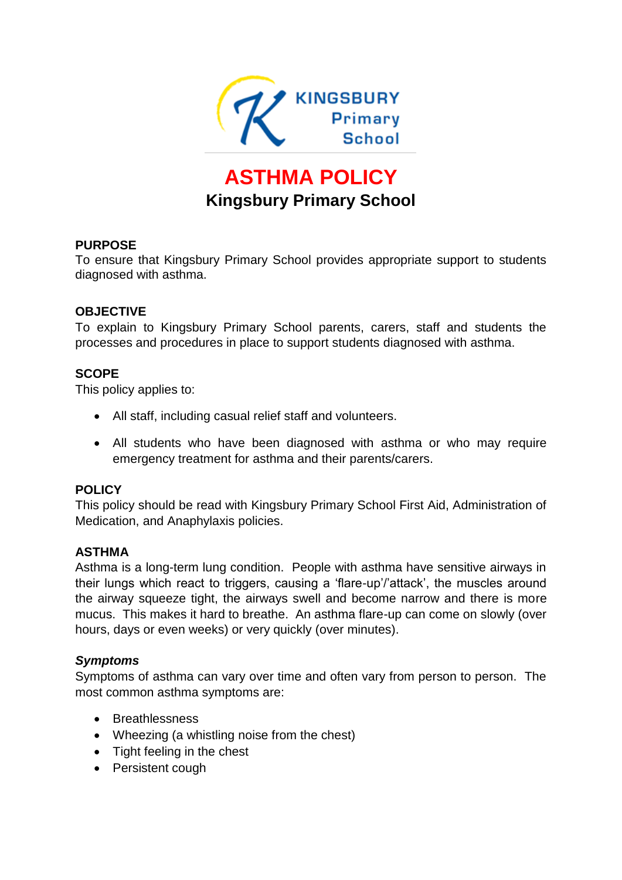

# **ASTHMA POLICY Kingsbury Primary School**

#### **PURPOSE**

To ensure that Kingsbury Primary School provides appropriate support to students diagnosed with asthma.

#### **OBJECTIVE**

To explain to Kingsbury Primary School parents, carers, staff and students the processes and procedures in place to support students diagnosed with asthma.

#### **SCOPE**

This policy applies to:

- All staff, including casual relief staff and volunteers.
- All students who have been diagnosed with asthma or who may require emergency treatment for asthma and their parents/carers.

#### **POLICY**

This policy should be read with Kingsbury Primary School First Aid, Administration of Medication, and Anaphylaxis policies.

#### **ASTHMA**

Asthma is a long-term lung condition. People with asthma have sensitive airways in their lungs which react to triggers, causing a 'flare-up'/'attack', the muscles around the airway squeeze tight, the airways swell and become narrow and there is more mucus. This makes it hard to breathe. An asthma flare-up can come on slowly (over hours, days or even weeks) or very quickly (over minutes).

#### *Symptoms*

Symptoms of asthma can vary over time and often vary from person to person. The most common asthma symptoms are:

- Breathlessness
- Wheezing (a whistling noise from the chest)
- Tight feeling in the chest
- Persistent cough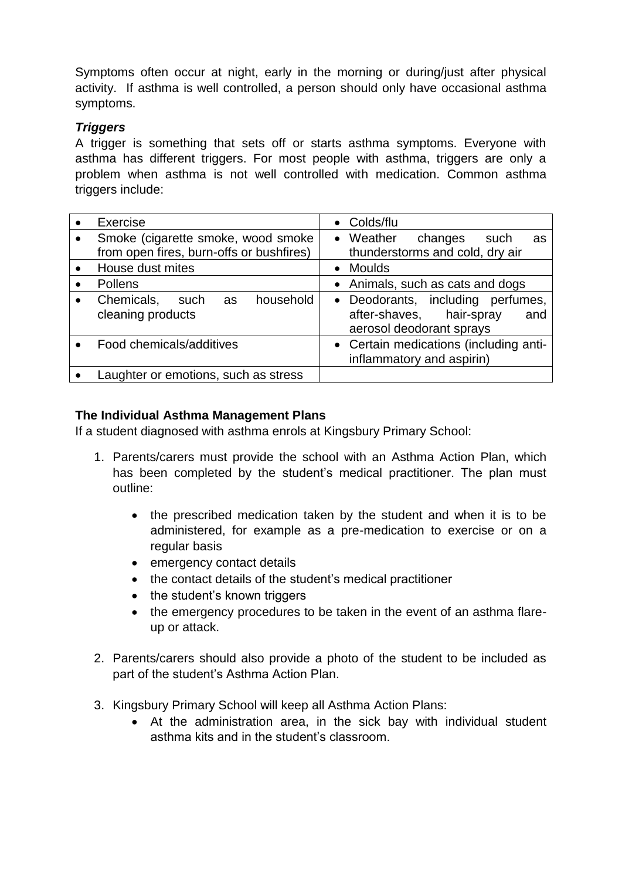Symptoms often occur at night, early in the morning or during/just after physical activity. If asthma is well controlled, a person should only have occasional asthma symptoms.

## *Triggers*

A trigger is something that sets off or starts asthma symptoms. Everyone with asthma has different triggers. For most people with asthma, triggers are only a problem when asthma is not well controlled with medication. Common asthma triggers include:

|           | Exercise                                                                       | • Colds/flu                                                                                      |  |  |  |  |
|-----------|--------------------------------------------------------------------------------|--------------------------------------------------------------------------------------------------|--|--|--|--|
|           | Smoke (cigarette smoke, wood smoke<br>from open fires, burn-offs or bushfires) | • Weather<br>changes<br>such<br>as<br>thunderstorms and cold, dry air                            |  |  |  |  |
|           | House dust mites                                                               | • Moulds                                                                                         |  |  |  |  |
|           | Pollens                                                                        | • Animals, such as cats and dogs                                                                 |  |  |  |  |
| $\bullet$ | Chemicals,<br>household<br>such as<br>cleaning products                        | • Deodorants, including perfumes,<br>after-shaves, hair-spray<br>and<br>aerosol deodorant sprays |  |  |  |  |
|           | Food chemicals/additives                                                       | • Certain medications (including anti-<br>inflammatory and aspirin)                              |  |  |  |  |
|           | Laughter or emotions, such as stress                                           |                                                                                                  |  |  |  |  |

# **The Individual Asthma Management Plans**

If a student diagnosed with asthma enrols at Kingsbury Primary School:

- 1. Parents/carers must provide the school with an Asthma Action Plan, which has been completed by the student's medical practitioner. The plan must outline:
	- the prescribed medication taken by the student and when it is to be administered, for example as a pre-medication to exercise or on a regular basis
	- emergency contact details
	- the contact details of the student's medical practitioner
	- the student's known triggers
	- the emergency procedures to be taken in the event of an asthma flareup or attack.
- 2. Parents/carers should also provide a photo of the student to be included as part of the student's Asthma Action Plan.
- 3. Kingsbury Primary School will keep all Asthma Action Plans:
	- At the administration area, in the sick bay with individual student asthma kits and in the student's classroom.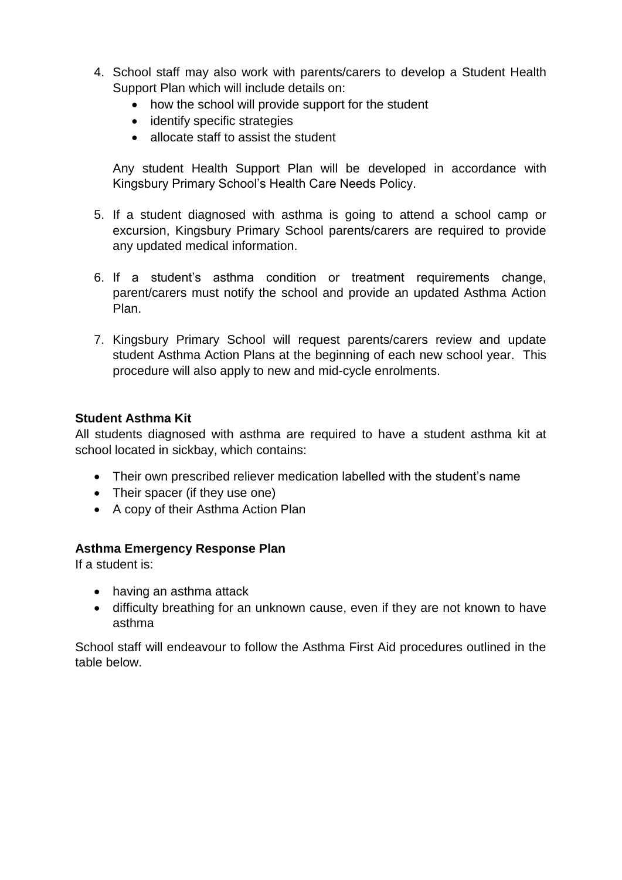- 4. School staff may also work with parents/carers to develop a Student Health Support Plan which will include details on:
	- how the school will provide support for the student
	- identify specific strategies
	- allocate staff to assist the student

Any student Health Support Plan will be developed in accordance with Kingsbury Primary School's Health Care Needs Policy.

- 5. If a student diagnosed with asthma is going to attend a school camp or excursion, Kingsbury Primary School parents/carers are required to provide any updated medical information.
- 6. If a student's asthma condition or treatment requirements change, parent/carers must notify the school and provide an updated Asthma Action Plan.
- 7. Kingsbury Primary School will request parents/carers review and update student Asthma Action Plans at the beginning of each new school year. This procedure will also apply to new and mid-cycle enrolments.

#### **Student Asthma Kit**

All students diagnosed with asthma are required to have a student asthma kit at school located in sickbay, which contains:

- Their own prescribed reliever medication labelled with the student's name
- Their spacer (if they use one)
- A copy of their Asthma Action Plan

## **Asthma Emergency Response Plan**

If a student is:

- having an asthma attack
- difficulty breathing for an unknown cause, even if they are not known to have asthma

School staff will endeavour to follow the Asthma First Aid procedures outlined in the table below.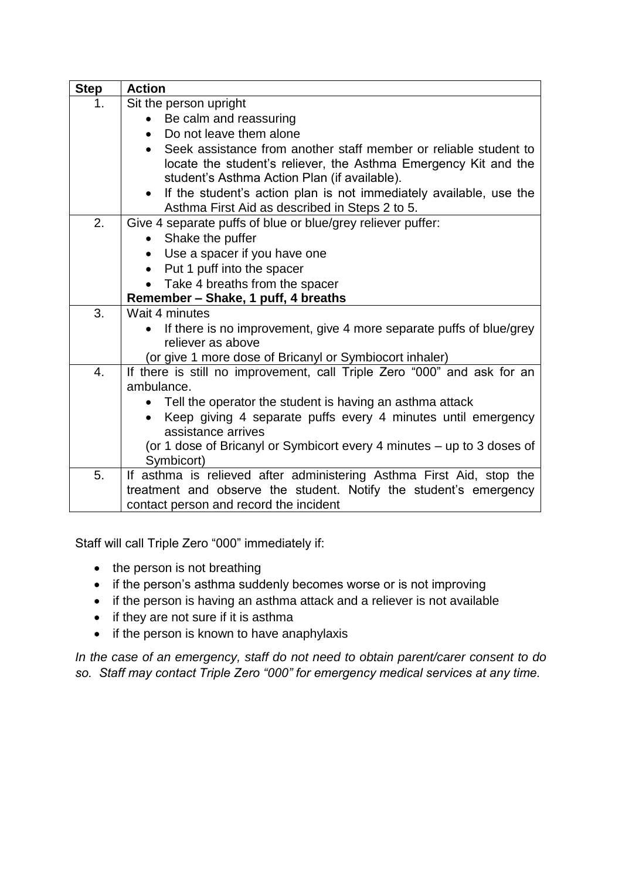| <b>Step</b> | <b>Action</b>                                                                    |  |  |  |  |  |
|-------------|----------------------------------------------------------------------------------|--|--|--|--|--|
| 1.          | Sit the person upright                                                           |  |  |  |  |  |
|             | Be calm and reassuring<br>$\bullet$                                              |  |  |  |  |  |
|             | Do not leave them alone                                                          |  |  |  |  |  |
|             | Seek assistance from another staff member or reliable student to<br>$\bullet$    |  |  |  |  |  |
|             | locate the student's reliever, the Asthma Emergency Kit and the                  |  |  |  |  |  |
|             | student's Asthma Action Plan (if available).                                     |  |  |  |  |  |
|             | If the student's action plan is not immediately available, use the<br>$\bullet$  |  |  |  |  |  |
|             | Asthma First Aid as described in Steps 2 to 5.                                   |  |  |  |  |  |
| 2.          | Give 4 separate puffs of blue or blue/grey reliever puffer:                      |  |  |  |  |  |
|             | Shake the puffer                                                                 |  |  |  |  |  |
|             | • Use a spacer if you have one                                                   |  |  |  |  |  |
|             | • Put 1 puff into the spacer                                                     |  |  |  |  |  |
|             | Take 4 breaths from the spacer                                                   |  |  |  |  |  |
| 3.          | Remember - Shake, 1 puff, 4 breaths<br>Wait 4 minutes                            |  |  |  |  |  |
|             | If there is no improvement, give 4 more separate puffs of blue/grey<br>$\bullet$ |  |  |  |  |  |
|             | reliever as above                                                                |  |  |  |  |  |
|             | (or give 1 more dose of Bricanyl or Symbiocort inhaler)                          |  |  |  |  |  |
| 4.          | If there is still no improvement, call Triple Zero "000" and ask for an          |  |  |  |  |  |
|             | ambulance.                                                                       |  |  |  |  |  |
|             | Tell the operator the student is having an asthma attack                         |  |  |  |  |  |
|             | Keep giving 4 separate puffs every 4 minutes until emergency<br>$\bullet$        |  |  |  |  |  |
|             | assistance arrives                                                               |  |  |  |  |  |
|             | (or 1 dose of Bricanyl or Symbicort every 4 minutes - up to 3 doses of           |  |  |  |  |  |
|             | Symbicort)                                                                       |  |  |  |  |  |
| 5.          | If asthma is relieved after administering Asthma First Aid, stop the             |  |  |  |  |  |
|             | treatment and observe the student. Notify the student's emergency                |  |  |  |  |  |
|             | contact person and record the incident                                           |  |  |  |  |  |

Staff will call Triple Zero "000" immediately if:

- $\bullet$  the person is not breathing
- if the person's asthma suddenly becomes worse or is not improving
- if the person is having an asthma attack and a reliever is not available
- $\bullet$  if they are not sure if it is asthma
- if the person is known to have anaphylaxis

*In the case of an emergency, staff do not need to obtain parent/carer consent to do so. Staff may contact Triple Zero "000" for emergency medical services at any time.*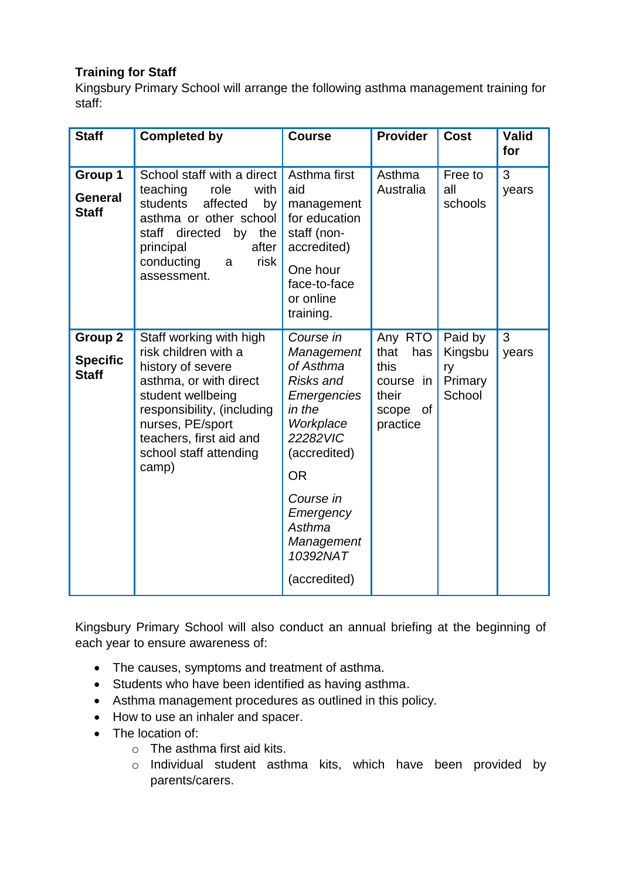# **Training for Staff**

Kingsbury Primary School will arrange the following asthma management training for staff:

| <b>Staff</b>                                      | <b>Completed by</b>                                                                                                                                                                                                                 | <b>Course</b>                                                                                                                                                                                                         | <b>Provider</b>                                                              | <b>Cost</b>                                   | <b>Valid</b><br>for |
|---------------------------------------------------|-------------------------------------------------------------------------------------------------------------------------------------------------------------------------------------------------------------------------------------|-----------------------------------------------------------------------------------------------------------------------------------------------------------------------------------------------------------------------|------------------------------------------------------------------------------|-----------------------------------------------|---------------------|
| Group 1<br><b>General</b><br><b>Staff</b>         | School staff with a direct<br>teaching<br>with<br>role<br>students<br>affected<br>by<br>asthma or other school<br>staff directed<br>by<br>the<br>after<br>principal<br>conducting<br>risk<br>a<br>assessment.                       | Asthma first<br>aid<br>management<br>for education<br>staff (non-<br>accredited)<br>One hour<br>face-to-face<br>or online<br>training.                                                                                | Asthma<br>Australia                                                          | Free to<br>all<br>schools                     | 3<br>years          |
| <b>Group 2</b><br><b>Specific</b><br><b>Staff</b> | Staff working with high<br>risk children with a<br>history of severe<br>asthma, or with direct<br>student wellbeing<br>responsibility, (including<br>nurses, PE/sport<br>teachers, first aid and<br>school staff attending<br>camp) | Course in<br>Management<br>of Asthma<br>Risks and<br><b>Emergencies</b><br>in the<br>Workplace<br>22282VIC<br>(accredited)<br><b>OR</b><br>Course in<br>Emergency<br>Asthma<br>Management<br>10392NAT<br>(accredited) | Any RTO<br>that<br>has<br>this<br>course in<br>their<br>scope of<br>practice | Paid by<br>Kingsbu<br>ry<br>Primary<br>School | 3<br>years          |

Kingsbury Primary School will also conduct an annual briefing at the beginning of each year to ensure awareness of:

- The causes, symptoms and treatment of asthma.
- Students who have been identified as having asthma.
- Asthma management procedures as outlined in this policy.
- How to use an inhaler and spacer.
- The location of:
	- o The asthma first aid kits.
	- o Individual student asthma kits, which have been provided by parents/carers.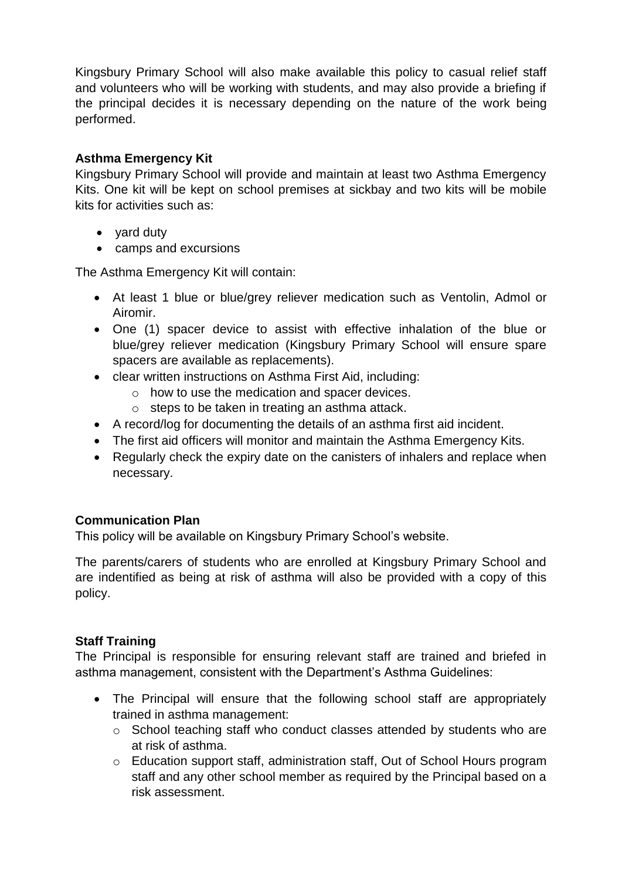Kingsbury Primary School will also make available this policy to casual relief staff and volunteers who will be working with students, and may also provide a briefing if the principal decides it is necessary depending on the nature of the work being performed.

# **Asthma Emergency Kit**

Kingsbury Primary School will provide and maintain at least two Asthma Emergency Kits. One kit will be kept on school premises at sickbay and two kits will be mobile kits for activities such as:

- yard duty
- camps and excursions

The Asthma Emergency Kit will contain:

- At least 1 blue or blue/grey reliever medication such as Ventolin, Admol or Airomir.
- One (1) spacer device to assist with effective inhalation of the blue or blue/grey reliever medication (Kingsbury Primary School will ensure spare spacers are available as replacements).
- clear written instructions on Asthma First Aid, including:
	- o how to use the medication and spacer devices.
	- o steps to be taken in treating an asthma attack.
- A record/log for documenting the details of an asthma first aid incident.
- The first aid officers will monitor and maintain the Asthma Emergency Kits.
- Regularly check the expiry date on the canisters of inhalers and replace when necessary.

# **Communication Plan**

This policy will be available on Kingsbury Primary School's website.

The parents/carers of students who are enrolled at Kingsbury Primary School and are indentified as being at risk of asthma will also be provided with a copy of this policy.

## **Staff Training**

The Principal is responsible for ensuring relevant staff are trained and briefed in asthma management, consistent with the Department's Asthma Guidelines:

- The Principal will ensure that the following school staff are appropriately trained in asthma management:
	- o School teaching staff who conduct classes attended by students who are at risk of asthma.
	- o Education support staff, administration staff, Out of School Hours program staff and any other school member as required by the Principal based on a risk assessment.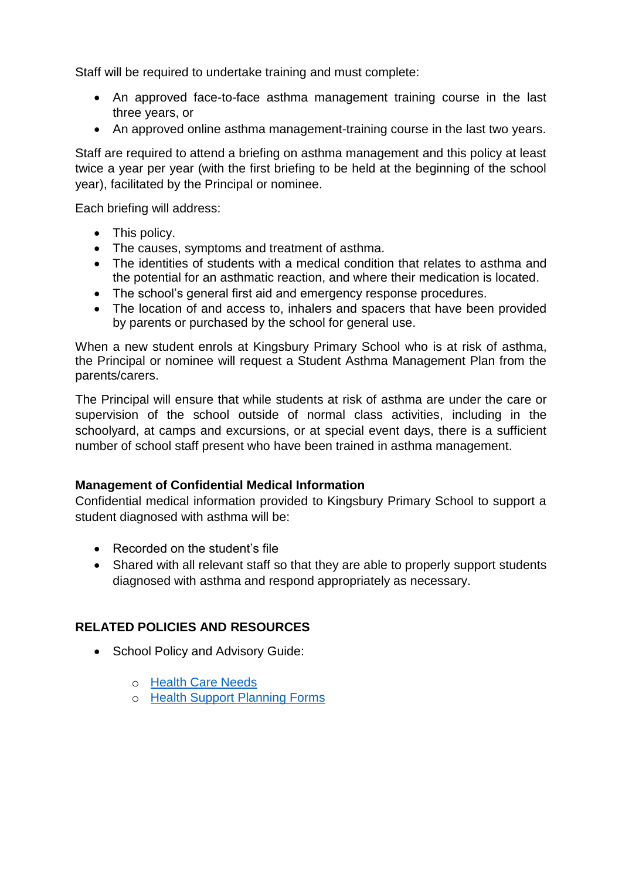Staff will be required to undertake training and must complete:

- An approved face-to-face asthma management training course in the last three years, or
- An approved online asthma management-training course in the last two years.

Staff are required to attend a briefing on asthma management and this policy at least twice a year per year (with the first briefing to be held at the beginning of the school year), facilitated by the Principal or nominee.

Each briefing will address:

- This policy.
- The causes, symptoms and treatment of asthma.
- The identities of students with a medical condition that relates to asthma and the potential for an asthmatic reaction, and where their medication is located.
- The school's general first aid and emergency response procedures.
- The location of and access to, inhalers and spacers that have been provided by parents or purchased by the school for general use.

When a new student enrols at Kingsbury Primary School who is at risk of asthma, the Principal or nominee will request a Student Asthma Management Plan from the parents/carers.

The Principal will ensure that while students at risk of asthma are under the care or supervision of the school outside of normal class activities, including in the schoolyard, at camps and excursions, or at special event days, there is a sufficient number of school staff present who have been trained in asthma management.

## **Management of Confidential Medical Information**

Confidential medical information provided to Kingsbury Primary School to support a student diagnosed with asthma will be:

- Recorded on the student's file
- Shared with all relevant staff so that they are able to properly support students diagnosed with asthma and respond appropriately as necessary.

## **RELATED POLICIES AND RESOURCES**

- School Policy and Advisory Guide:
	- o [Health Care Needs](http://www.education.vic.gov.au/school/principals/spag/health/Pages/healthcareneeds.aspx#link80)
	- o [Health Support Planning Forms](http://www.education.vic.gov.au/school/principals/spag/health/Pages/supportplanning.aspx)